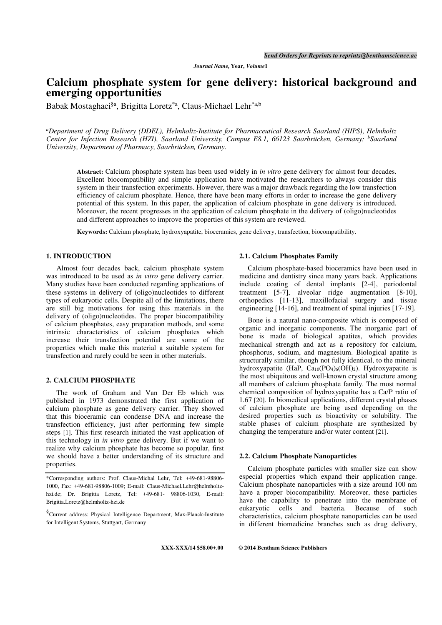Journal Name, Year, Volume1

# Calcium phosphate system for gene delivery: historical background and emerging opportunities

Babak Mostaghaci§a, Brigitta Loretz\*a, Claus-Michael Lehr\*a,b

<sup>a</sup>Department of Drug Delivery (DDEL), Helmholtz-Institute for Pharmaceutical Research Saarland (HIPS), Helmholtz Centre for Infection Research (HZI), Saarland University, Campus E8.1, 66123 Saarbrücken, Germany; <sup>b</sup>Saarland University, Department of Pharmacy, Saarbrücken, Germany.

Abstract: Calcium phosphate system has been used widely in *in vitro* gene delivery for almost four decades. Excellent biocompatibility and simple application have motivated the researchers to always consider this system in their transfection experiments. However, there was a major drawback regarding the low transfection efficiency of calcium phosphate. Hence, there have been many efforts in order to increase the gene delivery potential of this system. In this paper, the application of calcium phosphate in gene delivery is introduced. Moreover, the recent progresses in the application of calcium phosphate in the delivery of (oligo)nucleotides and different approaches to improve the properties of this system are reviewed.

Keywords: Calcium phosphate, hydroxyapatite, bioceramics, gene delivery, transfection, biocompatibility.

# 1. INTRODUCTION

 Almost four decades back, calcium phosphate system was introduced to be used as *in vitro* gene delivery carrier. Many studies have been conducted regarding applications of these systems in delivery of (oligo)nucleotides to different types of eukaryotic cells. Despite all of the limitations, there are still big motivations for using this materials in the delivery of (oligo)nucleotides. The proper biocompatibility of calcium phosphates, easy preparation methods, and some intrinsic characteristics of calcium phosphates which increase their transfection potential are some of the properties which make this material a suitable system for transfection and rarely could be seen in other materials.

# 2. CALCIUM PHOSPHATE

 The work of Graham and Van Der Eb which was published in 1973 demonstrated the first application of calcium phosphate as gene delivery carrier. They showed that this bioceramic can condense DNA and increase the transfection efficiency, just after performing few simple steps [1]. This first research initiated the vast application of this technology in in vitro gene delivery. But if we want to realize why calcium phosphate has become so popular, first we should have a better understanding of its structure and properties.

#### 2.1. Calcium Phosphates Family

Calcium phosphate-based bioceramics have been used in medicine and dentistry since many years back. Applications include coating of dental implants [2-4], periodontal treatment [5-7], alveolar ridge augmentation [8-10], orthopedics [11-13], maxillofacial surgery and tissue engineering [14-16], and treatment of spinal injuries [17-19].

Bone is a natural nano-composite which is composed of organic and inorganic components. The inorganic part of bone is made of biological apatites, which provides mechanical strength and act as a repository for calcium, phosphorus, sodium, and magnesium. Biological apatite is structurally similar, though not fully identical, to the mineral hydroxyapatite (HaP, Ca<sub>10</sub>(PO<sub>4</sub>)<sub>6</sub>(OH)<sub>2</sub>). Hydroxyapatite is the most ubiquitous and well-known crystal structure among all members of calcium phosphate family. The most normal chemical composition of hydroxyapatite has a Ca/P ratio of 1.67 [20]. In biomedical applications, different crystal phases of calcium phosphate are being used depending on the desired properties such as bioactivity or solubility. The stable phases of calcium phosphate are synthesized by changing the temperature and/or water content [21].

### 2.2. Calcium Phosphate Nanoparticles

Calcium phosphate particles with smaller size can show especial properties which expand their application range. Calcium phosphate nanoparticles with a size around 100 nm have a proper biocompatibility. Moreover, these particles have the capability to penetrate into the membrane of eukaryotic cells and bacteria. Because of such characteristics, calcium phosphate nanoparticles can be used in different biomedicine branches such as drug delivery,

XXX-XXX/14 \$58.00+.00 © 2014 Bentham Science Publishers

<sup>\*</sup>Corresponding authors: Prof. Claus-Michal Lehr, Tel: +49-681-98806- 1000, Fax: +49-681-98806-1009; E-mail: Claus-Michael.Lehr@helmholtzhzi.de; Dr. Brigitta Loretz, Tel: +49-681- 98806-1030, E-mail: Brigitta.Loretz@helmholtz-hzi.de

<sup>§</sup>Current address: Physical Intelligence Department, Max-Planck-Institute for Intelligent Systems, Stuttgart, Germany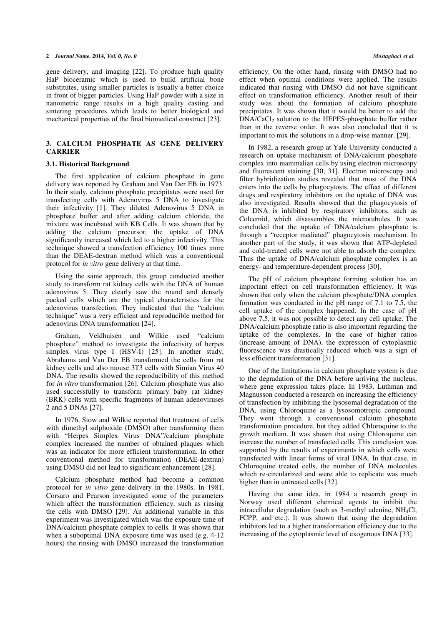#### 2 Journal Name, 2014, Vol. 0, No. 0 Mostaghaci et al.

gene delivery, and imaging [22]. To produce high quality HaP bioceramic which is used to build artificial bone substitutes, using smaller particles is usually a better choice in front of bigger particles. Using HaP powder with a size in nanometric range results in a high quality casting and sintering procedures which leads to better biological and mechanical properties of the final biomedical construct [23].

# 3. CALCIUM PHOSPHATE AS GENE DELIVERY **CARRIER**

#### 3.1. Historical Background

The first application of calcium phosphate in gene delivery was reported by Graham and Van Der EB in 1973. In their study, calcium phosphate precipitates were used for transfecting cells with Adenovirus 5 DNA to investigate their infectivity [1]. They diluted Adenovirus 5 DNA in phosphate buffer and after adding calcium chloride, the mixture was incubated with KB Cells. It was shown that by adding the calcium precursor, the uptake of DNA significantly increased which led to a higher infectivity. This technique showed a transfection efficiency 100 times more than the DEAE-dextran method which was a conventional protocol for in vitro gene delivery at that time.

Using the same approach, this group conducted another study to transform rat kidney cells with the DNA of human adenovirus 5. They clearly saw the round and densely packed cells which are the typical characteristics for the adenovirus transfection. They indicated that the "calcium technique" was a very efficient and reproducible method for adenovirus DNA transformation [24].

Graham, Veldhuisen and Wilkie used "calcium phosphate" method to investigate the infectivity of herpes simplex virus type I (HSV-I) [25]. In another study, Abrahams and Van Der EB transformed the cells from rat kidney cells and also mouse 3T3 cells with Simian Virus 40 DNA. The results showed the reproducibility of this method for in vitro transformation [26]. Calcium phosphate was also used successfully to transform primary baby rat kidney (BRK) cells with specific fragments of human adenoviruses 2 and 5 DNAs [27].

In 1976, Stow and Wilkie reported that treatment of cells with dimethyl sulphoxide (DMSO) after transforming them with "Herpes Simplex Virus DNA"/calcium phosphate complex increased the number of obtained plaques which was an indicator for more efficient transformation. In other conventional method for transformation (DEAE-dextran) using DMSO did not lead to significant enhancement [28].

Calcium phosphate method had become a common protocol for in vitro gene delivery in the 1980s. In 1981, Corsaro and Pearson investigated some of the parameters which affect the transformation efficiency, such as rinsing the cells with DMSO [29]. An additional variable in this experiment was investigated which was the exposure time of DNA/calcium phosphate complex to cells. It was shown that when a suboptimal DNA exposure time was used (e.g. 4-12) hours) the rinsing with DMSO increased the transformation

efficiency. On the other hand, rinsing with DMSO had no effect when optimal conditions were applied. The results indicated that rinsing with DMSO did not have significant effect on transformation efficiency. Another result of their study was about the formation of calcium phosphate precipitates. It was shown that it would be better to add the DNA/CaCl<sub>2</sub> solution to the HEPES-phosphate buffer rather than in the reverse order. It was also concluded that it is important to mix the solutions in a drop-wise manner. [29].

In 1982, a research group at Yale University conducted a research on uptake mechanism of DNA/calcium phosphate complex into mammalian cells by using electron microscopy and fluorescent staining [30, 31]. Electron microscopy and filter hybridization studies revealed that most of the DNA enters into the cells by phagocytosis. The effect of different drugs and respiratory inhibitors on the uptake of DNA was also investigated. Results showed that the phagocytosis of the DNA is inhibited by respiratory inhibitors, such as Colcemid, which disassembles the microtubules. It was concluded that the uptake of DNA/calcium phosphate is through a "receptor mediated" phagocytosis mechanism. In another part of the study, it was shown that ATP-depleted and cold-treated cells were not able to adsorb the complex. Thus the uptake of DNA/calcium phosphate complex is an energy- and temperature-dependent process [30].

The pH of calcium phosphate forming solution has an important effect on cell transformation efficiency. It was shown that only when the calcium phosphate/DNA complex formation was conducted in the pH range of 7.1 to 7.5, the cell uptake of the complex happened. In the case of pH above 7.5, it was not possible to detect any cell uptake. The DNA/calcium phosphate ratio is also important regarding the uptake of the complexes. In the case of higher ratios (increase amount of DNA), the expression of cytoplasmic fluorescence was drastically reduced which was a sign of less efficient transformation [31].

One of the limitations in calcium phosphate system is due to the degradation of the DNA before arriving the nucleus, where gene expression takes place. In 1983, Luthman and Magnusson conducted a research on increasing the efficiency of transfection by inhibiting the lysosomal degradation of the DNA, using Chloroquine as a lysosomotropic compound. They went through a conventional calcium phosphate transformation procedure, but they added Chloroquine to the growth medium. It was shown that using Chloroquine can increase the number of transfected cells. This conclusion was supported by the results of experiments in which cells were transfected with linear forms of viral DNA. In that case, in Chloroquine treated cells, the number of DNA molecules which re-circularized and were able to replicate was much higher than in untreated cells [32].

Having the same idea, in 1984 a research group in Norway used different chemical agents to inhibit the intracellular degradation (such as 3-methyl adenine, NH4Cl, FCPP, and etc.). It was shown that using the degradation inhibitors led to a higher transformation efficiency due to the increasing of the cytoplasmic level of exogenous DNA [33].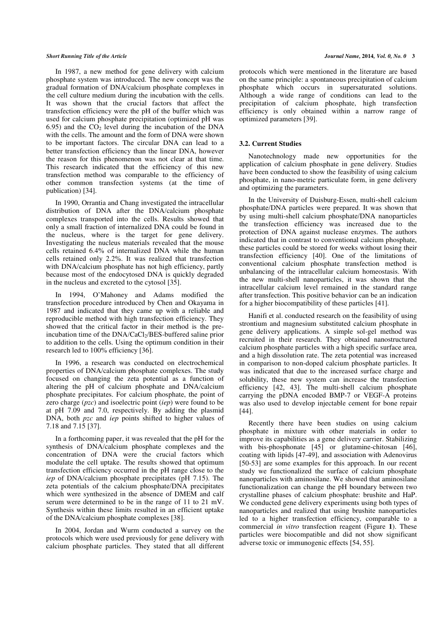In 1987, a new method for gene delivery with calcium phosphate system was introduced. The new concept was the gradual formation of DNA/calcium phosphate complexes in the cell culture medium during the incubation with the cells. It was shown that the crucial factors that affect the transfection efficiency were the pH of the buffer which was used for calcium phosphate precipitation (optimized pH was 6.95) and the  $CO<sub>2</sub>$  level during the incubation of the DNA with the cells. The amount and the form of DNA were shown to be important factors. The circular DNA can lead to a better transfection efficiency than the linear DNA, however the reason for this phenomenon was not clear at that time. This research indicated that the efficiency of this new transfection method was comparable to the efficiency of other common transfection systems (at the time of publication) [34].

In 1990, Orrantia and Chang investigated the intracellular distribution of DNA after the DNA/calcium phosphate complexes transported into the cells. Results showed that only a small fraction of internalized DNA could be found in the nucleus, where is the target for gene delivery. Investigating the nucleus materials revealed that the mouse cells retained 6.4% of internalized DNA while the human cells retained only 2.2%. It was realized that transfection with DNA/calcium phosphate has not high efficiency, partly because most of the endocytosed DNA is quickly degraded in the nucleus and excreted to the cytosol [35].

In 1994, O'Mahoney and Adams modified the transfection procedure introduced by Chen and Okayama in 1987 and indicated that they came up with a reliable and reproducible method with high transfection efficiency. They showed that the critical factor in their method is the preincubation time of the DNA/CaCl<sub>2</sub>/BES-buffered saline prior to addition to the cells. Using the optimum condition in their research led to 100% efficiency [36].

In 1996, a research was conducted on electrochemical properties of DNA/calcium phosphate complexes. The study focused on changing the zeta potential as a function of altering the pH of calcium phosphate and DNA/calcium phosphate precipitates. For calcium phosphate, the point of zero charge  $(pzc)$  and isoelectric point  $(iep)$  were found to be at pH 7.09 and 7.0, respectively. By adding the plasmid DNA, both *pzc* and *iep* points shifted to higher values of 7.18 and 7.15 [37].

In a forthcoming paper, it was revealed that the pH for the synthesis of DNA/calcium phosphate complexes and the concentration of DNA were the crucial factors which modulate the cell uptake. The results showed that optimum transfection efficiency occurred in the pH range close to the iep of DNA/calcium phosphate precipitates (pH 7.15). The zeta potentials of the calcium phosphate/DNA precipitates which were synthesized in the absence of DMEM and calf serum were determined to be in the range of 11 to 21 mV. Synthesis within these limits resulted in an efficient uptake of the DNA/calcium phosphate complexes [38].

In 2004, Jordan and Wurm conducted a survey on the protocols which were used previously for gene delivery with calcium phosphate particles. They stated that all different protocols which were mentioned in the literature are based on the same principle: a spontaneous precipitation of calcium phosphate which occurs in supersaturated solutions. Although a wide range of conditions can lead to the precipitation of calcium phosphate, high transfection efficiency is only obtained within a narrow range of optimized parameters [39].

### 3.2. Current Studies

Nanotechnology made new opportunities for the application of calcium phosphate in gene delivery. Studies have been conducted to show the feasibility of using calcium phosphate, in nano-metric particulate form, in gene delivery and optimizing the parameters.

In the University of Duisburg-Essen, multi-shell calcium phosphate/DNA particles were prepared. It was shown that by using multi-shell calcium phosphate/DNA nanoparticles the transfection efficiency was increased due to the protection of DNA against nuclease enzymes. The authors indicated that in contrast to conventional calcium phosphate, these particles could be stored for weeks without losing their transfection efficiency [40]. One of the limitations of conventional calcium phosphate transfection method is unbalancing of the intracellular calcium homeostasis. With the new multi-shell nanoparticles, it was shown that the intracellular calcium level remained in the standard range after transfection. This positive behavior can be an indication for a higher biocompatibility of these particles [41].

Hanifi et al. conducted research on the feasibility of using strontium and magnesium substituted calcium phosphate in gene delivery applications. A simple sol-gel method was recruited in their research. They obtained nanostructured calcium phosphate particles with a high specific surface area, and a high dissolution rate. The zeta potential was increased in comparison to non-doped calcium phosphate particles. It was indicated that due to the increased surface charge and solubility, these new system can increase the transfection efficiency [42, 43]. The multi-shell calcium phosphate carrying the pDNA encoded BMP-7 or VEGF-A proteins was also used to develop injectable cement for bone repair [44].

Recently there have been studies on using calcium phosphate in mixture with other materials in order to improve its capabilities as a gene delivery carrier. Stabilizing with bis-phosphonate [45] or glutamine-chitosan [46], coating with lipids [47-49], and association with Adenovirus [50-53] are some examples for this approach. In our recent study we functionalized the surface of calcium phosphate nanoparticles with aminosilane. We showed that aminosilane functionalization can change the pH boundary between two crystalline phases of calcium phosphate: brushite and HaP. We conducted gene delivery experiments using both types of nanoparticles and realized that using brushite nanoparticles led to a higher transfection efficiency, comparable to a commercial in vitro transfection reagent (Figure 1). These particles were biocompatible and did not show significant adverse toxic or immunogenic effects [54, 55].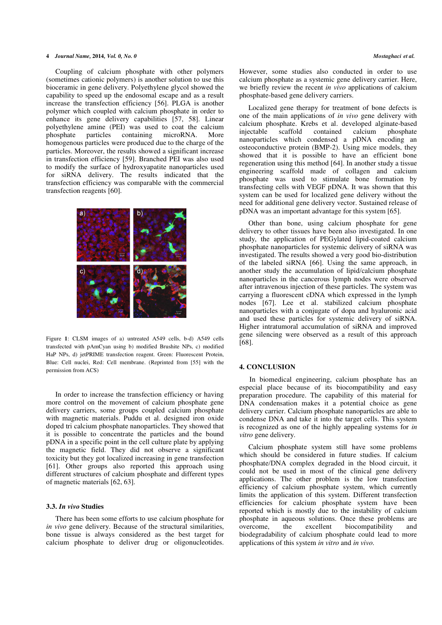#### 4 Journal Name, 2014, Vol. 0, No. 0 Mostaghaci et al.

Coupling of calcium phosphate with other polymers (sometimes cationic polymers) is another solution to use this bioceramic in gene delivery. Polyethylene glycol showed the capability to speed up the endosomal escape and as a result increase the transfection efficiency [56]. PLGA is another polymer which coupled with calcium phosphate in order to enhance its gene delivery capabilities [57, 58]. Linear polyethylene amine (PEI) was used to coat the calcium phosphate particles containing microRNA. More homogenous particles were produced due to the charge of the particles. Moreover, the results showed a significant increase in transfection efficiency [59]. Branched PEI was also used to modify the surface of hydroxyapatite nanoparticles used for siRNA delivery. The results indicated that the transfection efficiency was comparable with the commercial transfection reagents [60].



Figure 1: CLSM images of a) untreated A549 cells, b-d) A549 cells transfected with pAmCyan using b) modified Brushite NPs, c) modified HaP NPs, d) jetPRIME transfection reagent. Green: Fluorescent Protein, Blue: Cell nuclei, Red: Cell membrane. (Reprinted from [55] with the permission from ACS)

In order to increase the transfection efficiency or having more control on the movement of calcium phosphate gene delivery carriers, some groups coupled calcium phosphate with magnetic materials. Puddu et al. designed iron oxide doped tri calcium phosphate nanoparticles. They showed that it is possible to concentrate the particles and the bound pDNA in a specific point in the cell culture plate by applying the magnetic field. They did not observe a significant toxicity but they got localized increasing in gene transfection [61]. Other groups also reported this approach using different structures of calcium phosphate and different types of magnetic materials [62, 63].

### 3.3. In vivo Studies

There has been some efforts to use calcium phosphate for in vivo gene delivery. Because of the structural similarities, bone tissue is always considered as the best target for calcium phosphate to deliver drug or oligonucleotides.

However, some studies also conducted in order to use calcium phosphate as a systemic gene delivery carrier. Here, we briefly review the recent *in vivo* applications of calcium phosphate-based gene delivery carriers.

Localized gene therapy for treatment of bone defects is one of the main applications of in vivo gene delivery with calcium phosphate. Krebs et al. developed alginate-based injectable scaffold contained calcium phosphate nanoparticles which condensed a pDNA encoding an osteoconductive protein (BMP-2). Using mice models, they showed that it is possible to have an efficient bone regeneration using this method [64]. In another study a tissue engineering scaffold made of collagen and calcium phosphate was used to stimulate bone formation by transfecting cells with VEGF pDNA. It was shown that this system can be used for localized gene delivery without the need for additional gene delivery vector. Sustained release of pDNA was an important advantage for this system [65].

Other than bone, using calcium phosphate for gene delivery to other tissues have been also investigated. In one study, the application of PEGylated lipid-coated calcium phosphate nanoparticles for systemic delivery of siRNA was investigated. The results showed a very good bio-distribution of the labeled siRNA [66]. Using the same approach, in another study the accumulation of lipid/calcium phosphate nanoparticles in the cancerous lymph nodes were observed after intravenous injection of these particles. The system was carrying a fluorescent cDNA which expressed in the lymph nodes [67]. Lee et al. stabilized calcium phosphate nanoparticles with a conjugate of dopa and hyaluronic acid and used these particles for systemic delivery of siRNA. Higher intratumoral accumulation of siRNA and improved gene silencing were observed as a result of this approach [68].

# 4. CONCLUSION

 In biomedical engineering, calcium phosphate has an especial place because of its biocompatibility and easy preparation procedure. The capability of this material for DNA condensation makes it a potential choice as gene delivery carrier. Calcium phosphate nanoparticles are able to condense DNA and take it into the target cells. This system is recognized as one of the highly appealing systems for in vitro gene delivery.

Calcium phosphate system still have some problems which should be considered in future studies. If calcium phosphate/DNA complex degraded in the blood circuit, it could not be used in most of the clinical gene delivery applications. The other problem is the low transfection efficiency of calcium phosphate system, which currently limits the application of this system. Different transfection efficiencies for calcium phosphate system have been reported which is mostly due to the instability of calcium phosphate in aqueous solutions. Once these problems are overcome, the excellent biocompatibility and biodegradability of calcium phosphate could lead to more applications of this system in vitro and in vivo.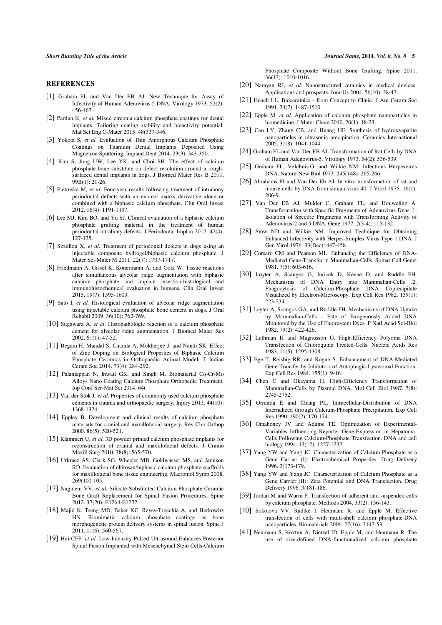#### **REFERENCES**

- [1] Graham FL and Van Der EB AJ. New Technique for Assay of Infectivity of Human Adenovirus 5 DNA. Virology 1973. 52(2): 456-467.
- [2] Pardun K, et al. Mixed zirconia calcium phosphate coatings for dental implants: Tailoring coating stability and bioactivity potential. Mat Sci Eng C-Mater 2015. 48(337-346.
- [3] Yokota S, et al. Evaluation of Thin Amorphous Calcium Phosphate Coatings on Titanium Dental Implants Deposited Using Magnetron Sputtering. Implant Dent 2014. 23(3): 343-350.
- [4] Kim S, Jung UW, Lee YK, and Choi SH. The effect of calcium phosphate bone substitute on defect resolution around a roughsurfaced dental implants in dogs. J Biomed Mater Res B 2011. 99B(1): 21-26.
- [5] Pietruska M, et al. Four-year results following treatment of intrabony periodontal defects with an enamel matrix derivative alone or combined with a biphasic calcium phosphate. Clin Oral Invest 2012. 16(4): 1191-1197.
- [6] Lee MJ, Kim BO, and Yu SJ. Clinical evaluation of a biphasic calcium phosphate grafting material in the treatment of human periodontal intrabony defects. J Periodontal Implan 2012. 42(4): 127-135.
- [7] Struillou X, et al. Treatment of periodontal defects in dogs using an injectable composite hydrogel/biphasic calcium phosphate. J Mater Sci-Mater M 2011. 22(7): 1707-1717.
- [8] Friedmann A, Gissel K, Konermann A, and Gotz W. Tissue reactions after simultaneous alveolar ridge augmentation with biphasic calcium phosphate and implant insertion-histological and immunohistochemical evaluation in humans. Clin Oral Invest 2015. 19(7): 1595-1603.
- [9] Sato I, et al. Histological evaluation of alveolar ridge augmentation using injectable calcium phosphate bone cement in dogs. J Oral Rehabil 2009. 36(10): 762-769.
- [10] Sugawara A, et al. Histopathologic reaction of a calcium phosphate cement for alveolar ridge augmentation. J Biomed Mater Res 2002. 61(1): 47-52.
- [11] Begam H, Mandal S, Chanda A, Mukherjee J, and Nandi SK. Effect of Zinc Doping on Biological Properties of Biphasic Calcium Phosphate Ceramics in Orthopaedic Animal Model. T Indian Ceram Soc 2014. 73(4): 284-292.
- [12] Palaniappan N, Inwati GK, and Singh M. Biomaterial Co-Cr-Mo Alloys Nano Coating Calcium Phosphate Orthopedic Treatment. Iop Conf Ser-Mat Sci 2014. 64(
- [13] Van der Stok J, et al. Properties of commonly used calcium phosphate cements in trauma and orthopaedic surgery. Injury 2013. 44(10): 1368-1374.
- [14] Eppley B. Development and clinical results of calcium phosphate materials for cranial and maxillofacial surgery. Rev Chir Orthop 2000. 86(5): 520-521.
- [15] Klammert U, et al. 3D powder printed calcium phosphate implants for reconstruction of cranial and maxillofacial defects. J Cranio Maxill Surg 2010. 38(8): 565-570.
- [16] Urkmez AS, Clark SG, Wheeler MB, Goldwasser MS, and Jamison RD. Evaluation of chitosan/biphasic calcium phosphate scaffolds for maxillofacial bone tissue engineering. Macromol Symp 2008. 269(100-105.
- [17] Nagineni VV, et al. Silicate-Substituted Calcium Phosphate Ceramic Bone Graft Replacement for Spinal Fusion Procedures. Spine 2012. 37(20): E1264-E1272.
- [18] Majid K, Tseng MD, Baker KC, Reyes-Trocchia A, and Herkowitz HN. Biomimetic calcium phosphate coatings as bone morphogenetic protein delivery systems in spinal fusion. Spine J 2011. 11(6): 560-567.
- [19] Hui CFF, et al. Low-Intensity Pulsed Ultrasound Enhances Posterior Spinal Fusion Implanted with Mesenchymal Stem Cells-Calcium

Short Running Title of the Article  $J$ ournal Name, 2014, Vol. 0, No. 0 5

Phosphate Composite Without Bone Grafting. Spine 2011. 36(13): 1010-1016.

- [20] Narayan RJ, et al. Nanostructured ceramics in medical devices: Applications and prospects. Jom-Us 2004. 56(10): 38-43.
- [21] Hench LL. Bioceramics from Concept to Clinic. J Am Ceram Soc 1991. 74(7): 1487-1510.
- [22] Epple M, et al. Application of calcium phosphate nanoparticles in biomedicine. J Mater Chem 2010. 20(1): 18-23.
- [23] Cao LY, Zhang CB, and Huang HF. Synthesis of hydroxyapatite nanoparticles in ultrasonic precipitation. Ceramics International 2005. 31(8): 1041-1044.
- [24] Graham FL and Van Der EB AJ. Transformation of Rat Cells by DNA of Human Adenovirus-5. Virology 1973. 54(2): 536-539.
- [25] Graham FL, Veldhuis.G, and Wilkie NM. Infectious Herpesvirus DNA. Nature-New Biol 1973. 245(148): 265-266.
- [26] Abrahams PJ and Van Der Eb AJ. In vitro transformation of rat and mouse cells by DNA from simian virus 40. J Virol 1975. 16(1): 206-9.
- [27] Van Der EB AJ, Mulder C, Graham FL, and Houweling A. Transformation with Specific Fragments of Adenovirus Dnas .1. Isolation of Specific Fragments with Transforming Activity of Adenovirus-2 and 5 DNA. Gene 1977. 2(3-4): 115-132.
- [28] Stow ND and Wilkie NM. Improved Technique for Obtaining Enhanced Infectivity with Herpes-Simplex Virus Type-1 DNA. J Gen Virol 1976. 33(Dec): 447-458.
- [29] Corsaro CM and Pearson ML. Enhancing the Efficiency of DNA-Mediated Gene-Transfer in Mammalian-Cells. Somat Cell Genet 1981. 7(5): 603-616.
- [30] Loyter A, Scangos G, Juricek D, Keene D, and Ruddle FH. Mechanisms of DNA Entry into Mammalian-Cells .2. Phagocytosis of Calcium-Phosphate DNA Coprecipitate Visualized by Electron-Microscopy. Exp Cell Res 1982. 139(1): 223-234.
- [31] Loyter A, Scangos GA, and Ruddle FH. Mechanisms of DNA Uptake by Mammalian-Cells - Fate of Exogenously Added DNA Monitored by the Use of Fluorescent Dyes. P Natl Acad Sci-Biol 1982. 79(2): 422-426.
- [32] Luthman H and Magnusson G. High-Efficiency Polyoma DNA Transfection of Chloroquine Treated-Cells. Nucleic Acids Res 1983. 11(5): 1295-1308.
- [33] Ege T, Reisbig RR, and Rogne S. Enhancement of DNA-Mediated Gene-Transfer by Inhibitors of Autophagic-Lysosomal Function. Exp Cell Res 1984. 155(1): 9-16.
- [34] Chen C and Okayama H. High-Efficiency Transformation of Mammalian-Cells by Plasmid DNA. Mol Cell Biol 1987. 7(8): 2745-2752.
- [35] Orrantia E and Chang PL. Intracellular-Distribution of DNA Internalized through Calcium-Phosphate Precipitation. Exp Cell Res 1990. 190(2): 170-174.
- [36] Omahoney JV and Adams TE. Optimization of Experimental-Variables Influencing Reporter Gene-Expression in Hepatoma-Cells Following Calcium-Phosphate Transfection. DNA and cell biology 1994. 13(12): 1227-1232.
- [37] Yang YW and Yang JC. Characterization of Calcium Phosphate as a Gene Carrier (I): Electrochemical Properties. Drug Delivery 1996. 3(173-179.
- [38] Yang YW and Yang JC. Characterization of Calcium Phosphate as a Gene Carrier (II): Zeta Potential and DNA Transfection. Drug Delivery 1996. 3(181-186.
- [39] Jordan M and Wurm F. Transfection of adherent and suspended cells by calcium phosphate. Methods 2004. 33(2): 136-143.
- [40] Sokolova VV, Radtke I, Heumann R, and Epple M. Effective transfection of cells with multi-shell calcium phosphate-DNA nanoparticles. Biomaterials 2006. 27(16): 3147-53.
- [41] Neumann S, Kovtun A, Dietzel ID, Epple M, and Heumann R. The use of size-defined DNA-functionalized calcium phosphate